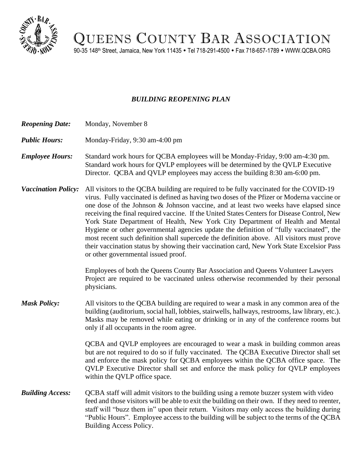

QUEENS COUNTY BAR ASSOCIATION

90-35 148<sup>th</sup> Street, Jamaica, New York 11435 • Tel 718-291-4500 • Fax 718-657-1789 • WWW.QCBA.ORG

## *BUILDING REOPENING PLAN*

- *Reopening Date:* Monday, November 8
- *Public Hours:* Monday-Friday, 9:30 am-4:00 pm
- *Employee Hours:* Standard work hours for QCBA employees will be Monday-Friday, 9:00 am-4:30 pm. Standard work hours for QVLP employees will be determined by the QVLP Executive Director. QCBA and QVLP employees may access the building 8:30 am-6:00 pm.
- *Vaccination Policy:* All visitors to the QCBA building are required to be fully vaccinated for the COVID-19 virus. Fully vaccinated is defined as having two doses of the Pfizer or Moderna vaccine or one dose of the Johnson & Johnson vaccine, and at least two weeks have elapsed since receiving the final required vaccine. If the United States Centers for Disease Control, New York State Department of Health, New York City Department of Health and Mental Hygiene or other governmental agencies update the definition of "fully vaccinated", the most recent such definition shall supercede the definition above. All visitors must prove their vaccination status by showing their vaccination card, New York State Excelsior Pass or other governmental issued proof.

Employees of both the Queens County Bar Association and Queens Volunteer Lawyers Project are required to be vaccinated unless otherwise recommended by their personal physicians.

*Mask Policy:* All visitors to the QCBA building are required to wear a mask in any common area of the building (auditorium, social hall, lobbies, stairwells, hallways, restrooms, law library, etc.). Masks may be removed while eating or drinking or in any of the conference rooms but only if all occupants in the room agree.

> QCBA and QVLP employees are encouraged to wear a mask in building common areas but are not required to do so if fully vaccinated. The QCBA Executive Director shall set and enforce the mask policy for QCBA employees within the QCBA office space. The QVLP Executive Director shall set and enforce the mask policy for QVLP employees within the QVLP office space.

*Building Access:* QCBA staff will admit visitors to the building using a remote buzzer system with video feed and those visitors will be able to exit the building on their own. If they need to reenter, staff will "buzz them in" upon their return. Visitors may only access the building during "Public Hours". Employee access to the building will be subject to the terms of the QCBA Building Access Policy.